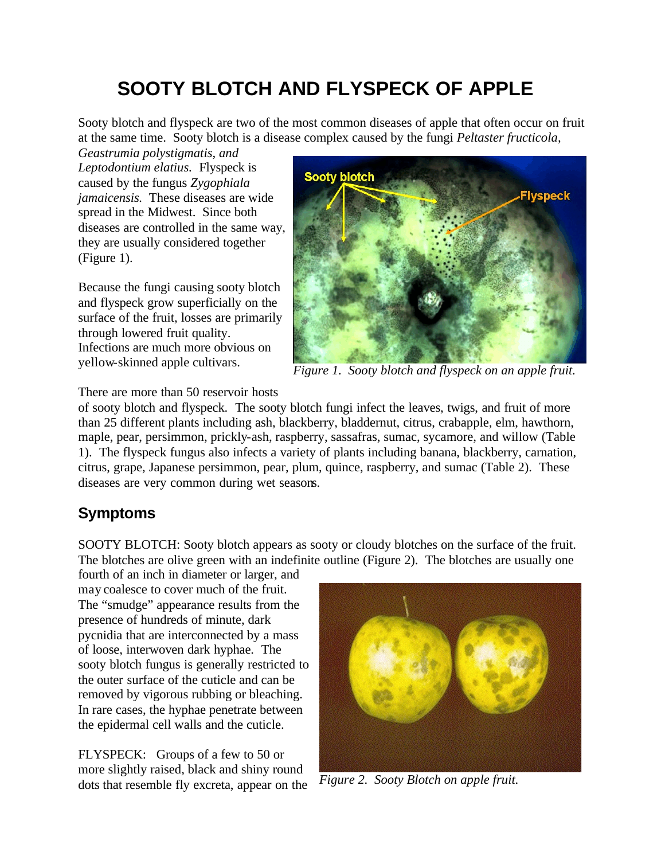# **SOOTY BLOTCH AND FLYSPECK OF APPLE**

Sooty blotch and flyspeck are two of the most common diseases of apple that often occur on fruit at the same time. Sooty blotch is a disease complex caused by the fungi *Peltaster fructicola,* 

*Geastrumia polystigmatis, and Leptodontium elatius.* Flyspeck is caused by the fungus *Zygophiala jamaicensis.* These diseases are wide spread in the Midwest. Since both diseases are controlled in the same way, they are usually considered together (Figure 1).

Because the fungi causing sooty blotch and flyspeck grow superficially on the surface of the fruit, losses are primarily through lowered fruit quality. Infections are much more obvious on yellow-skinned apple cultivars.



*Figure 1. Sooty blotch and flyspeck on an apple fruit.*

There are more than 50 reservoir hosts

of sooty blotch and flyspeck. The sooty blotch fungi infect the leaves, twigs, and fruit of more than 25 different plants including ash, blackberry, bladdernut, citrus, crabapple, elm, hawthorn, maple, pear, persimmon, prickly-ash, raspberry, sassafras, sumac, sycamore, and willow (Table 1). The flyspeck fungus also infects a variety of plants including banana, blackberry, carnation, citrus, grape, Japanese persimmon, pear, plum, quince, raspberry, and sumac (Table 2). These diseases are very common during wet seasons.

# **Symptoms**

SOOTY BLOTCH: Sooty blotch appears as sooty or cloudy blotches on the surface of the fruit. The blotches are olive green with an indefinite outline (Figure 2). The blotches are usually one

fourth of an inch in diameter or larger, and may coalesce to cover much of the fruit. The "smudge" appearance results from the presence of hundreds of minute, dark pycnidia that are interconnected by a mass of loose, interwoven dark hyphae. The sooty blotch fungus is generally restricted to the outer surface of the cuticle and can be removed by vigorous rubbing or bleaching. In rare cases, the hyphae penetrate between the epidermal cell walls and the cuticle.

FLYSPECK: Groups of a few to 50 or more slightly raised, black and shiny round dots that resemble fly excreta, appear on the



*Figure 2. Sooty Blotch on apple fruit.*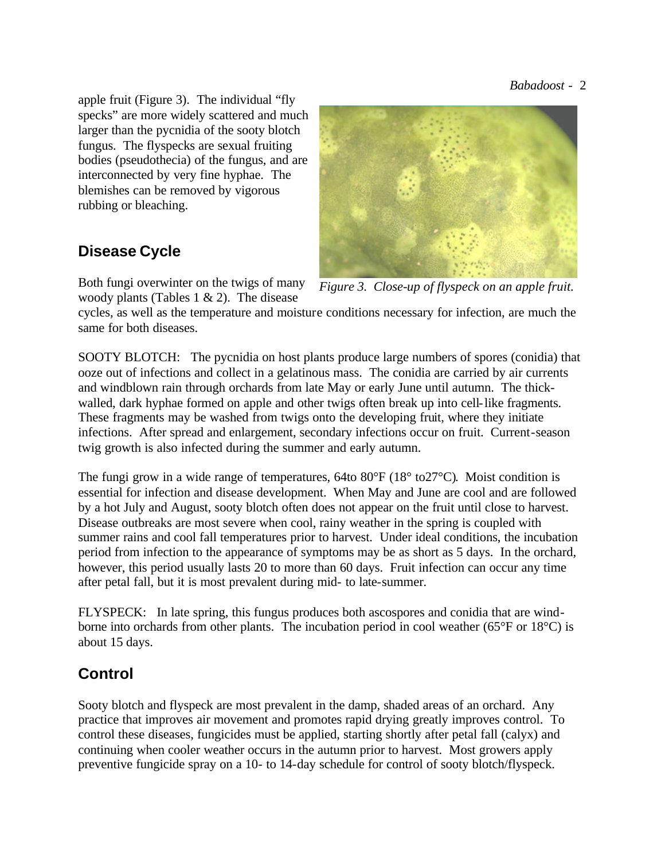apple fruit (Figure 3). The individual "fly specks" are more widely scattered and much larger than the pycnidia of the sooty blotch fungus. The flyspecks are sexual fruiting bodies (pseudothecia) of the fungus, and are interconnected by very fine hyphae. The blemishes can be removed by vigorous rubbing or bleaching.

## **Disease Cycle**

Both fungi overwinter on the twigs of many woody plants (Tables 1  $\&$  2). The disease



*Figure 3. Close-up of flyspeck on an apple fruit.*

cycles, as well as the temperature and moisture conditions necessary for infection, are much the same for both diseases.

SOOTY BLOTCH: The pycnidia on host plants produce large numbers of spores (conidia) that ooze out of infections and collect in a gelatinous mass. The conidia are carried by air currents and windblown rain through orchards from late May or early June until autumn. The thickwalled, dark hyphae formed on apple and other twigs often break up into cell-like fragments. These fragments may be washed from twigs onto the developing fruit, where they initiate infections. After spread and enlargement, secondary infections occur on fruit. Current-season twig growth is also infected during the summer and early autumn.

The fungi grow in a wide range of temperatures, 64to 80°F (18° to27°C). Moist condition is essential for infection and disease development. When May and June are cool and are followed by a hot July and August, sooty blotch often does not appear on the fruit until close to harvest. Disease outbreaks are most severe when cool, rainy weather in the spring is coupled with summer rains and cool fall temperatures prior to harvest. Under ideal conditions, the incubation period from infection to the appearance of symptoms may be as short as 5 days. In the orchard, however, this period usually lasts 20 to more than 60 days. Fruit infection can occur any time after petal fall, but it is most prevalent during mid- to late-summer.

FLYSPECK: In late spring, this fungus produces both ascospores and conidia that are windborne into orchards from other plants. The incubation period in cool weather (65°F or 18°C) is about 15 days.

# **Control**

Sooty blotch and flyspeck are most prevalent in the damp, shaded areas of an orchard. Any practice that improves air movement and promotes rapid drying greatly improves control. To control these diseases, fungicides must be applied, starting shortly after petal fall (calyx) and continuing when cooler weather occurs in the autumn prior to harvest. Most growers apply preventive fungicide spray on a 10- to 14-day schedule for control of sooty blotch/flyspeck.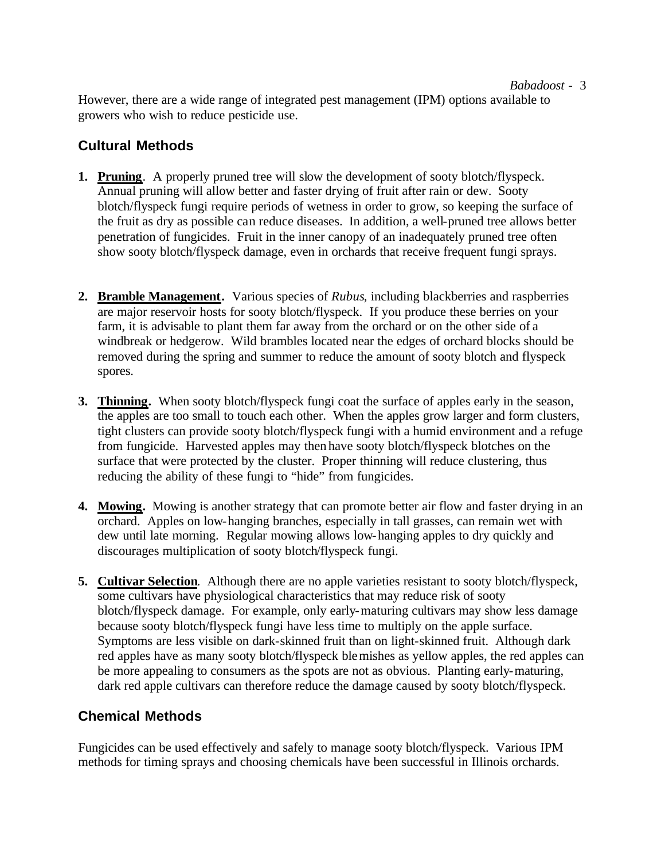### *Babadoost* - 3

However, there are a wide range of integrated pest management (IPM) options available to growers who wish to reduce pesticide use.

### **Cultural Methods**

- **1. Pruning**. A properly pruned tree will slow the development of sooty blotch/flyspeck. Annual pruning will allow better and faster drying of fruit after rain or dew. Sooty blotch/flyspeck fungi require periods of wetness in order to grow, so keeping the surface of the fruit as dry as possible can reduce diseases. In addition, a well-pruned tree allows better penetration of fungicides. Fruit in the inner canopy of an inadequately pruned tree often show sooty blotch/flyspeck damage, even in orchards that receive frequent fungi sprays.
- **2. Bramble Management.** Various species of *Rubus*, including blackberries and raspberries are major reservoir hosts for sooty blotch/flyspeck. If you produce these berries on your farm, it is advisable to plant them far away from the orchard or on the other side of a windbreak or hedgerow. Wild brambles located near the edges of orchard blocks should be removed during the spring and summer to reduce the amount of sooty blotch and flyspeck spores.
- **3. Thinning.** When sooty blotch/flyspeck fungi coat the surface of apples early in the season, the apples are too small to touch each other. When the apples grow larger and form clusters, tight clusters can provide sooty blotch/flyspeck fungi with a humid environment and a refuge from fungicide. Harvested apples may then have sooty blotch/flyspeck blotches on the surface that were protected by the cluster. Proper thinning will reduce clustering, thus reducing the ability of these fungi to "hide" from fungicides.
- **4. Mowing.** Mowing is another strategy that can promote better air flow and faster drying in an orchard. Apples on low-hanging branches, especially in tall grasses, can remain wet with dew until late morning. Regular mowing allows low-hanging apples to dry quickly and discourages multiplication of sooty blotch/flyspeck fungi.
- **5. Cultivar Selection**. Although there are no apple varieties resistant to sooty blotch/flyspeck, some cultivars have physiological characteristics that may reduce risk of sooty blotch/flyspeck damage. For example, only early-maturing cultivars may show less damage because sooty blotch/flyspeck fungi have less time to multiply on the apple surface. Symptoms are less visible on dark-skinned fruit than on light-skinned fruit. Although dark red apples have as many sooty blotch/flyspeck blemishes as yellow apples, the red apples can be more appealing to consumers as the spots are not as obvious. Planting early-maturing, dark red apple cultivars can therefore reduce the damage caused by sooty blotch/flyspeck.

### **Chemical Methods**

Fungicides can be used effectively and safely to manage sooty blotch/flyspeck. Various IPM methods for timing sprays and choosing chemicals have been successful in Illinois orchards.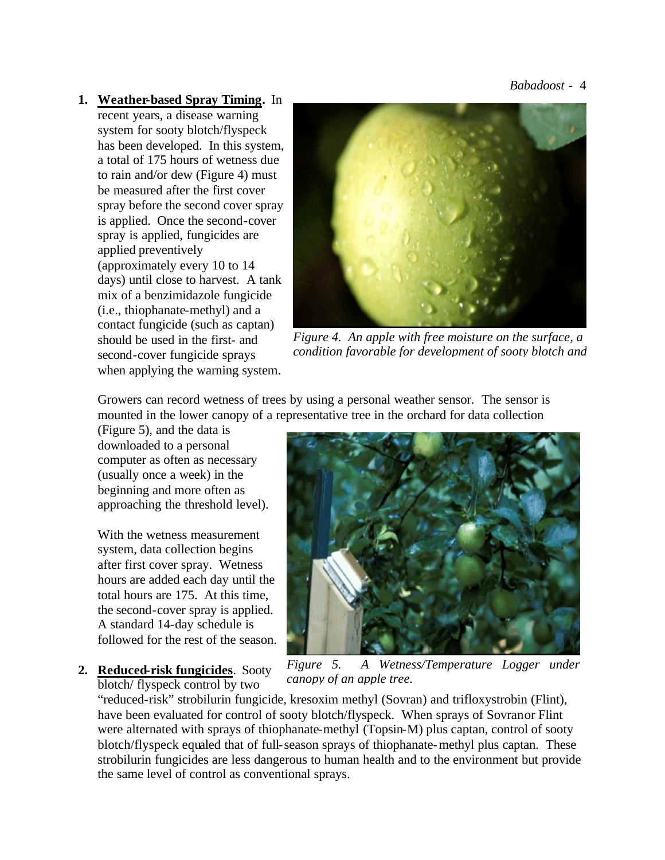*Babadoost* - 4

### **1. Weather-based Spray Timing.** In recent years, a disease warning system for sooty blotch/flyspeck has been developed. In this system, a total of 175 hours of wetness due to rain and/or dew (Figure 4) must be measured after the first cover spray before the second cover spray is applied. Once the second-cover spray is applied, fungicides are applied preventively (approximately every 10 to 14 days) until close to harvest. A tank mix of a benzimidazole fungicide (i.e., thiophanate-methyl) and a contact fungicide (such as captan)

should be used in the first- and second-cover fungicide sprays when applying the warning system.



*Figure 4. An apple with free moisture on the surface, a condition favorable for development of sooty blotch and* 

Growers can record wetness of trees by using a personal weather sensor. The sensor is mounted in the lower canopy of a representative tree in the orchard for data collection

(Figure 5), and the data is downloaded to a personal computer as often as necessary (usually once a week) in the beginning and more often as approaching the threshold level).

With the wetness measurement system, data collection begins after first cover spray. Wetness hours are added each day until the total hours are 175. At this time, the second-cover spray is applied. A standard 14-day schedule is followed for the rest of the season.

**2. Reduced-risk fungicides**. Sooty blotch/ flyspeck control by two



*Figure 5. A Wetness/Temperature Logger under canopy of an apple tree.*

"reduced-risk" strobilurin fungicide, kresoxim methyl (Sovran) and trifloxystrobin (Flint), have been evaluated for control of sooty blotch/flyspeck. When sprays of Sovranor Flint were alternated with sprays of thiophanate-methyl (Topsin-M) plus captan, control of sooty blotch/flyspeck equaled that of full-season sprays of thiophanate-methyl plus captan. These strobilurin fungicides are less dangerous to human health and to the environment but provide the same level of control as conventional sprays.